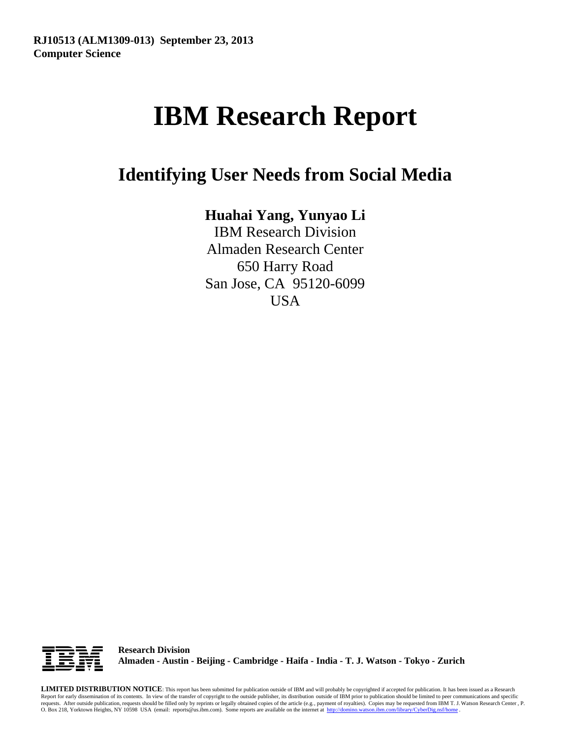# **IBM Research Report**

**Identifying User Needs from Social Media**

## **Huahai Yang, Yunyao Li**

IBM Research Division Almaden Research Center 650 Harry Road San Jose, CA 95120-6099 USA



**Research Division Almaden - Austin - Beijing - Cambridge - Haifa - India - T. J. Watson - Tokyo - Zurich**

**LIMITED DISTRIBUTION NOTICE**: This report has been submitted for publication outside of IBM and will probably be copyrighted if accepted for publication. It has been issued as a Research Report for early dissemination of its contents. In view of the transfer of copyright to the outside publisher, its distribution outside of IBM prior to publication should be limited to peer communications and specific requests. After outside publication, requests should be filled only by reprints or legally obtained copies of the article (e.g., payment of royalties). Copies may be requested from IBM T. J. Watson Research Center , P.<br>O.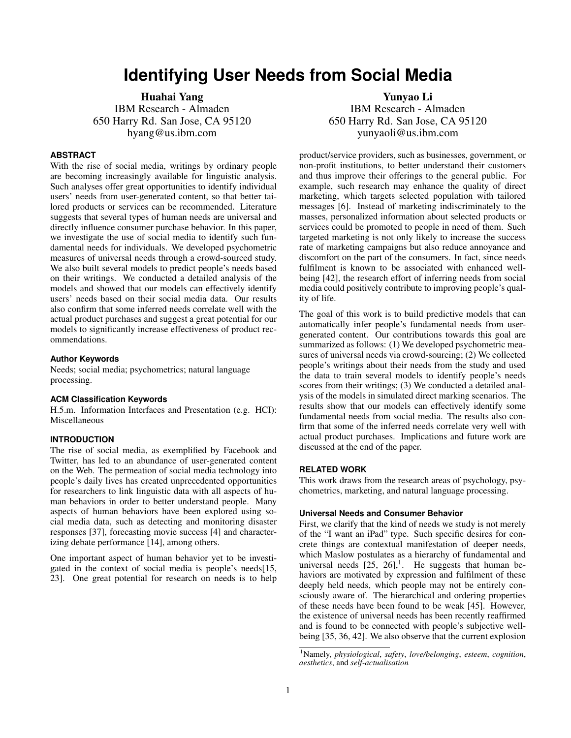### **Identifying User Needs from Social Media**

Huahai Yang IBM Research - Almaden 650 Harry Rd. San Jose, CA 95120 hyang@us.ibm.com

#### **ABSTRACT**

With the rise of social media, writings by ordinary people are becoming increasingly available for linguistic analysis. Such analyses offer great opportunities to identify individual users' needs from user-generated content, so that better tailored products or services can be recommended. Literature suggests that several types of human needs are universal and directly influence consumer purchase behavior. In this paper, we investigate the use of social media to identify such fundamental needs for individuals. We developed psychometric measures of universal needs through a crowd-sourced study. We also built several models to predict people's needs based on their writings. We conducted a detailed analysis of the models and showed that our models can effectively identify users' needs based on their social media data. Our results also confirm that some inferred needs correlate well with the actual product purchases and suggest a great potential for our models to significantly increase effectiveness of product recommendations.

#### **Author Keywords**

Needs; social media; psychometrics; natural language processing.

#### **ACM Classification Keywords**

H.5.m. Information Interfaces and Presentation (e.g. HCI): Miscellaneous

#### **INTRODUCTION**

The rise of social media, as exemplified by Facebook and Twitter, has led to an abundance of user-generated content on the Web. The permeation of social media technology into people's daily lives has created unprecedented opportunities for researchers to link linguistic data with all aspects of human behaviors in order to better understand people. Many aspects of human behaviors have been explored using social media data, such as detecting and monitoring disaster responses [\[37\]](#page-10-0), forecasting movie success [\[4\]](#page-9-0) and characterizing debate performance [\[14\]](#page-9-1), among others.

One important aspect of human behavior yet to be investigated in the context of social media is people's needs[\[15,](#page-9-2) [23\]](#page-9-3). One great potential for research on needs is to help

Yunyao Li IBM Research - Almaden 650 Harry Rd. San Jose, CA 95120 yunyaoli@us.ibm.com

product/service providers, such as businesses, government, or non-profit institutions, to better understand their customers and thus improve their offerings to the general public. For example, such research may enhance the quality of direct marketing, which targets selected population with tailored messages [\[6\]](#page-9-4). Instead of marketing indiscriminately to the masses, personalized information about selected products or services could be promoted to people in need of them. Such targeted marketing is not only likely to increase the success rate of marketing campaigns but also reduce annoyance and discomfort on the part of the consumers. In fact, since needs fulfilment is known to be associated with enhanced wellbeing [\[42\]](#page-10-1), the research effort of inferring needs from social media could positively contribute to improving people's quality of life.

The goal of this work is to build predictive models that can automatically infer people's fundamental needs from usergenerated content. Our contributions towards this goal are summarized as follows: (1) We developed psychometric measures of universal needs via crowd-sourcing; (2) We collected people's writings about their needs from the study and used the data to train several models to identify people's needs scores from their writings; (3) We conducted a detailed analysis of the models in simulated direct marking scenarios. The results show that our models can effectively identify some fundamental needs from social media. The results also confirm that some of the inferred needs correlate very well with actual product purchases. Implications and future work are discussed at the end of the paper.

#### **RELATED WORK**

This work draws from the research areas of psychology, psychometrics, marketing, and natural language processing.

#### **Universal Needs and Consumer Behavior**

First, we clarify that the kind of needs we study is not merely of the "I want an iPad" type. Such specific desires for concrete things are contextual manifestation of deeper needs, which Maslow postulates as a hierarchy of fundamental and universal needs  $[25, 26]$  $[25, 26]$  $[25, 26]$ ,<sup>[1](#page-1-0)</sup>. He suggests that human behaviors are motivated by expression and fulfilment of these deeply held needs, which people may not be entirely consciously aware of. The hierarchical and ordering properties of these needs have been found to be weak [\[45\]](#page-10-2). However, the existence of universal needs has been recently reaffirmed and is found to be connected with people's subjective wellbeing [\[35,](#page-9-7) [36,](#page-9-8) [42\]](#page-10-1). We also observe that the current explosion

<span id="page-1-0"></span><sup>1</sup>Namely, *physiological*, *safety*, *love/belonging*, *esteem*, *cognition*, *aesthetics*, and *self-actualisation*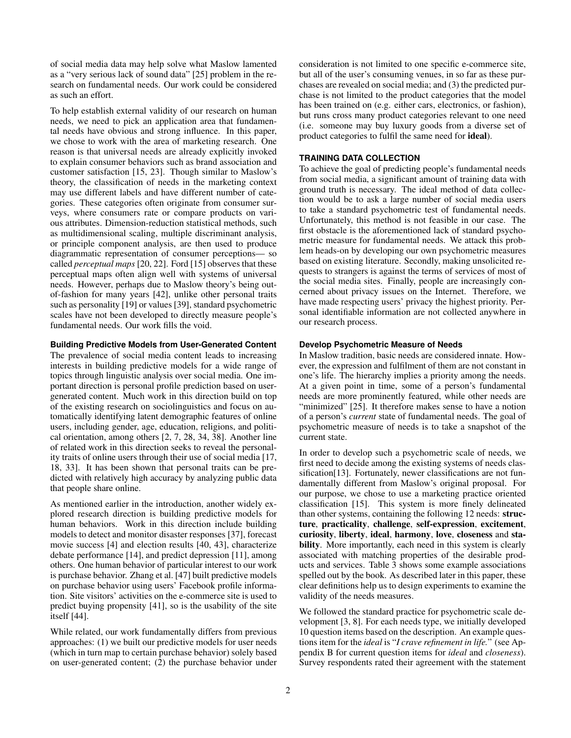of social media data may help solve what Maslow lamented as a "very serious lack of sound data" [\[25\]](#page-9-5) problem in the research on fundamental needs. Our work could be considered as such an effort.

To help establish external validity of our research on human needs, we need to pick an application area that fundamental needs have obvious and strong influence. In this paper, we chose to work with the area of marketing research. One reason is that universal needs are already explicitly invoked to explain consumer behaviors such as brand association and customer satisfaction [\[15,](#page-9-2) [23\]](#page-9-3). Though similar to Maslow's theory, the classification of needs in the marketing context may use different labels and have different number of categories. These categories often originate from consumer surveys, where consumers rate or compare products on various attributes. Dimension-reduction statistical methods, such as multidimensional scaling, multiple discriminant analysis, or principle component analysis, are then used to produce diagrammatic representation of consumer perceptions— so called *perceptual maps* [\[20,](#page-9-9) [22\]](#page-9-10). Ford [\[15\]](#page-9-2) observes that these perceptual maps often align well with systems of universal needs. However, perhaps due to Maslow theory's being outof-fashion for many years [\[42\]](#page-10-1), unlike other personal traits such as personality [\[19\]](#page-9-11) or values [\[39\]](#page-10-3), standard psychometric scales have not been developed to directly measure people's fundamental needs. Our work fills the void.

#### **Building Predictive Models from User-Generated Content**

The prevalence of social media content leads to increasing interests in building predictive models for a wide range of topics through linguistic analysis over social media. One important direction is personal profile prediction based on usergenerated content. Much work in this direction build on top of the existing research on sociolinguistics and focus on automatically identifying latent demographic features of online users, including gender, age, education, religions, and political orientation, among others [\[2,](#page-9-12) [7,](#page-9-13) [28,](#page-9-14) [34,](#page-9-15) [38\]](#page-10-4). Another line of related work in this direction seeks to reveal the personality traits of online users through their use of social media [\[17,](#page-9-16) [18,](#page-9-17) [33\]](#page-9-18). It has been shown that personal traits can be predicted with relatively high accuracy by analyzing public data that people share online.

As mentioned earlier in the introduction, another widely explored research direction is building predictive models for human behaviors. Work in this direction include building models to detect and monitor disaster responses [\[37\]](#page-10-0), forecast movie success [\[4\]](#page-9-0) and election results [\[40,](#page-10-5) [43\]](#page-10-6), characterize debate performance [\[14\]](#page-9-1), and predict depression [\[11\]](#page-9-19), among others. One human behavior of particular interest to our work is purchase behavior. Zhang et al. [\[47\]](#page-10-7) built predictive models on purchase behavior using users' Facebook profile information. Site visitors' activities on the e-commerce site is used to predict buying propensity [\[41\]](#page-10-8), so is the usability of the site itself [\[44\]](#page-10-9).

While related, our work fundamentally differs from previous approaches: (1) we built our predictive models for user needs (which in turn map to certain purchase behavior) solely based on user-generated content; (2) the purchase behavior under consideration is not limited to one specific e-commerce site, but all of the user's consuming venues, in so far as these purchases are revealed on social media; and (3) the predicted purchase is not limited to the product categories that the model has been trained on (e.g. either cars, electronics, or fashion), but runs cross many product categories relevant to one need (i.e. someone may buy luxury goods from a diverse set of product categories to fulfil the same need for ideal).

#### **TRAINING DATA COLLECTION**

To achieve the goal of predicting people's fundamental needs from social media, a significant amount of training data with ground truth is necessary. The ideal method of data collection would be to ask a large number of social media users to take a standard psychometric test of fundamental needs. Unfortunately, this method is not feasible in our case. The first obstacle is the aforementioned lack of standard psychometric measure for fundamental needs. We attack this problem heads-on by developing our own psychometric measures based on existing literature. Secondly, making unsolicited requests to strangers is against the terms of services of most of the social media sites. Finally, people are increasingly concerned about privacy issues on the Internet. Therefore, we have made respecting users' privacy the highest priority. Personal identifiable information are not collected anywhere in our research process.

#### **Develop Psychometric Measure of Needs**

In Maslow tradition, basic needs are considered innate. However, the expression and fulfilment of them are not constant in one's life. The hierarchy implies a priority among the needs. At a given point in time, some of a person's fundamental needs are more prominently featured, while other needs are "minimized" [\[25\]](#page-9-5). It therefore makes sense to have a notion of a person's *current* state of fundamental needs. The goal of psychometric measure of needs is to take a snapshot of the current state.

In order to develop such a psychometric scale of needs, we first need to decide among the existing systems of needs clas-sification[\[13\]](#page-9-20). Fortunately, newer classifications are not fundamentally different from Maslow's original proposal. For our purpose, we chose to use a marketing practice oriented classification [\[15\]](#page-9-2). This system is more finely delineated than other systems, containing the following 12 needs: structure, practicality, challenge, self-expression, excitement, curiosity, liberty, ideal, harmony, love, closeness and stability. More importantly, each need in this system is clearly associated with matching properties of the desirable products and services. Table [3](#page-6-0) shows some example associations spelled out by the book. As described later in this paper, these clear definitions help us to design experiments to examine the validity of the needs measures.

We followed the standard practice for psychometric scale development [\[3,](#page-9-21) [8\]](#page-9-22). For each needs type, we initially developed 10 question items based on the description. An example questions item for the *ideal* is "*I crave refinement in life.*" (see Appendix B for current question items for *ideal* and *closeness*). Survey respondents rated their agreement with the statement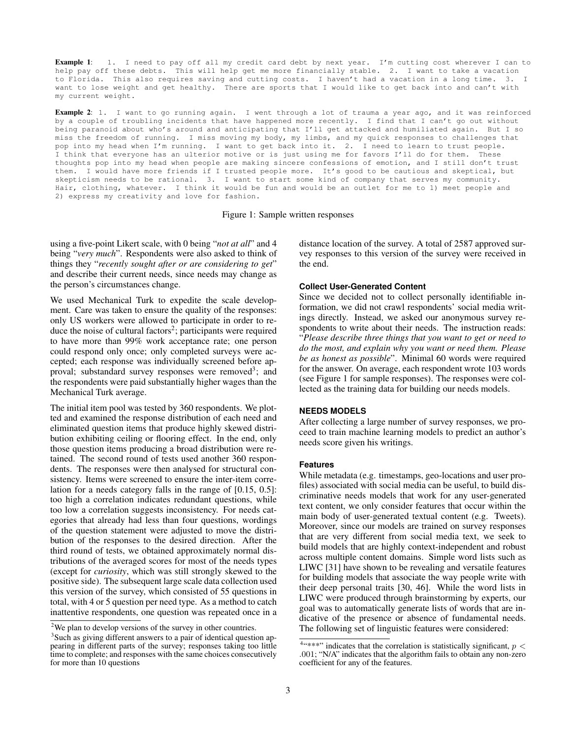<span id="page-3-2"></span>Example 1: 1. I need to pay off all my credit card debt by next year. I'm cutting cost wherever I can to help pay off these debts. This will help get me more financially stable. 2. I want to take a vacation to Florida. This also requires saving and cutting costs. I haven't had a vacation in a long time. 3. I want to lose weight and get healthy. There are sports that I would like to get back into and can't with my current weight.

Example 2: 1. I want to go running again. I went through a lot of trauma a year ago, and it was reinforced by a couple of troubling incidents that have happened more recently. I find that I can't go out without being paranoid about who's around and anticipating that I'll get attacked and humiliated again. But I so miss the freedom of running. I miss moving my body, my limbs, and my quick responses to challenges that pop into my head when I'm running. I want to get back into it. 2. I need to learn to trust people. I think that everyone has an ulterior motive or is just using me for favors I'll do for them. These thoughts pop into my head when people are making sincere confessions of emotion, and I still don't trust them. I would have more friends if I trusted people more. It's good to be cautious and skeptical, but skepticism needs to be rational. 3. I want to start some kind of company that serves my community. Hair, clothing, whatever. I think it would be fun and would be an outlet for me to 1) meet people and 2) express my creativity and love for fashion.

Figure 1: Sample written responses

using a five-point Likert scale, with 0 being "*not at all*" and 4 being "*very much*". Respondents were also asked to think of things they "*recently sought after or are considering to get*" and describe their current needs, since needs may change as the person's circumstances change.

We used Mechanical Turk to expedite the scale development. Care was taken to ensure the quality of the responses: only US workers were allowed to participate in order to re-duce the noise of cultural factors<sup>[2](#page-3-0)</sup>; participants were required to have more than 99% work acceptance rate; one person could respond only once; only completed surveys were accepted; each response was individually screened before ap-proval; substandard survey responses were removed<sup>[3](#page-3-1)</sup>; and the respondents were paid substantially higher wages than the Mechanical Turk average.

The initial item pool was tested by 360 respondents. We plotted and examined the response distribution of each need and eliminated question items that produce highly skewed distribution exhibiting ceiling or flooring effect. In the end, only those question items producing a broad distribution were retained. The second round of tests used another 360 respondents. The responses were then analysed for structural consistency. Items were screened to ensure the inter-item correlation for a needs category falls in the range of [0.15, 0.5]: too high a correlation indicates redundant questions, while too low a correlation suggests inconsistency. For needs categories that already had less than four questions, wordings of the question statement were adjusted to move the distribution of the responses to the desired direction. After the third round of tests, we obtained approximately normal distributions of the averaged scores for most of the needs types (except for *curiosity*, which was still strongly skewed to the positive side). The subsequent large scale data collection used this version of the survey, which consisted of 55 questions in total, with 4 or 5 question per need type. As a method to catch inattentive respondents, one question was repeated once in a distance location of the survey. A total of 2587 approved survey responses to this version of the survey were received in the end.

#### **Collect User-Generated Content**

Since we decided not to collect personally identifiable information, we did not crawl respondents' social media writings directly. Instead, we asked our anonymous survey respondents to write about their needs. The instruction reads: "*Please describe three things that you want to get or need to do the most, and explain why you want or need them. Please be as honest as possible*". Minimal 60 words were required for the answer. On average, each respondent wrote 103 words (see Figure [1](#page-3-2) for sample responses). The responses were collected as the training data for building our needs models.

#### **NEEDS MODELS**

After collecting a large number of survey responses, we proceed to train machine learning models to predict an author's needs score given his writings.

#### **Features**

While metadata (e.g. timestamps, geo-locations and user profiles) associated with social media can be useful, to build discriminative needs models that work for any user-generated text content, we only consider features that occur within the main body of user-generated textual content (e.g. Tweets). Moreover, since our models are trained on survey responses that are very different from social media text, we seek to build models that are highly context-independent and robust across multiple content domains. Simple word lists such as LIWC [\[31\]](#page-9-23) have shown to be revealing and versatile features for building models that associate the way people write with their deep personal traits [\[30,](#page-9-24) [46\]](#page-10-10). While the word lists in LIWC were produced through brainstorming by experts, our goal was to automatically generate lists of words that are indicative of the presence or absence of fundamental needs. The following set of linguistic features were considered:

<span id="page-3-0"></span> $2$ We plan to develop versions of the survey in other countries.

<span id="page-3-1"></span><sup>&</sup>lt;sup>3</sup>Such as giving different answers to a pair of identical question appearing in different parts of the survey; responses taking too little time to complete; and responses with the same choices consecutively for more than 10 questions

<span id="page-3-3"></span><sup>&</sup>lt;sup>4</sup> \*\*\*" indicates that the correlation is statistically significant,  $p <$ .001; "N/A" indicates that the algorithm fails to obtain any non-zero coefficient for any of the features.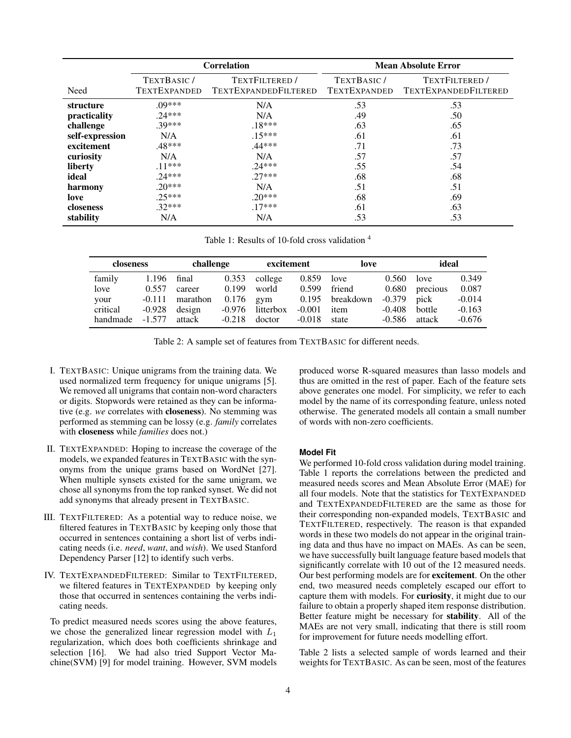<span id="page-4-0"></span>

|                 |                     | <b>Correlation</b>   | <b>Mean Absolute Error</b> |                      |  |
|-----------------|---------------------|----------------------|----------------------------|----------------------|--|
|                 | TEXTBASIC/          | TEXTFILTERED /       | TEXTBASIC/                 | TEXTFILTERED /       |  |
| Need            | <b>TEXTEXPANDED</b> | TEXTEXPANDEDFILTERED | <b>TEXTEXPANDED</b>        | TEXTEXPANDEDFILTERED |  |
| structure       | $.09***$            | N/A                  | .53                        | .53                  |  |
| practicality    | $.24***$            | N/A                  | .49                        | .50                  |  |
| challenge       | .39***              | $.18***$             | .63                        | .65                  |  |
| self-expression | N/A                 | $.15***$             | .61                        | .61                  |  |
| excitement      | .48***              | .44***               | .71                        | .73                  |  |
| curiosity       | N/A                 | N/A                  | .57                        | .57                  |  |
| liberty         | $.11***$            | $.24***$             | .55                        | .54                  |  |
| ideal           | $.24***$            | $27***$              | .68                        | .68                  |  |
| harmony         | $20***$             | N/A                  | .51                        | .51                  |  |
| love            | $.25***$            | $.20***$             | .68                        | .69                  |  |
| closeness       | $.32***$            | $.17***$             | .61                        | .63                  |  |
| stability       | N/A                 | N/A                  | .53                        | .53                  |  |

Table 1: Results of 10-fold cross validation  $4$ 

<span id="page-4-1"></span>

| closeness |          | challenge |          | excitement |          | love      |          | ideal    |          |
|-----------|----------|-----------|----------|------------|----------|-----------|----------|----------|----------|
| family    | 1.196    | final     | 0.353    | college    | 0.859    | love      | 0.560    | love     | 0.349    |
| love      | 0.557    | career    | 0.199    | world      | 0.599    | friend    | 0.680    | precious | 0.087    |
| your      | $-0.111$ | marathon  | 0.176    | gym        | 0.195    | breakdown | $-0.379$ | pick     | $-0.014$ |
| critical  | $-0.928$ | design    | -0.976   | litterbox  | $-0.001$ | item      | $-0.408$ | bottle   | $-0.163$ |
| handmade  | $-1.577$ | attack    | $-0.218$ | doctor     | $-0.018$ | state     | $-0.586$ | attack   | $-0.676$ |

Table 2: A sample set of features from TEXTBASIC for different needs.

- I. TEXTBASIC: Unique unigrams from the training data. We used normalized term frequency for unique unigrams [\[5\]](#page-9-25). We removed all unigrams that contain non-word characters or digits. Stopwords were retained as they can be informative (e.g. *we* correlates with closeness). No stemming was performed as stemming can be lossy (e.g. *family* correlates with closeness while *families* does not.)
- II. TEXTEXPANDED: Hoping to increase the coverage of the models, we expanded features in TEXTBASIC with the synonyms from the unique grams based on WordNet [\[27\]](#page-9-26). When multiple synsets existed for the same unigram, we chose all synonyms from the top ranked synset. We did not add synonyms that already present in TEXTBASIC.
- III. TEXTFILTERED: As a potential way to reduce noise, we filtered features in TEXTBASIC by keeping only those that occurred in sentences containing a short list of verbs indicating needs (i.e. *need*, *want*, and *wish*). We used Stanford Dependency Parser [\[12\]](#page-9-27) to identify such verbs.
- IV. TEXTEXPANDEDFILTERED: Similar to TEXTFILTERED, we filtered features in TEXTEXPANDED by keeping only those that occurred in sentences containing the verbs indicating needs.

To predict measured needs scores using the above features, we chose the generalized linear regression model with  $L_1$ regularization, which does both coefficients shrinkage and selection [\[16\]](#page-9-28). We had also tried Support Vector Machine(SVM) [\[9\]](#page-9-29) for model training. However, SVM models

produced worse R-squared measures than lasso models and thus are omitted in the rest of paper. Each of the feature sets above generates one model. For simplicity, we refer to each model by the name of its corresponding feature, unless noted otherwise. The generated models all contain a small number of words with non-zero coefficients.

#### **Model Fit**

We performed 10-fold cross validation during model training. Table [1](#page-4-0) reports the correlations between the predicted and measured needs scores and Mean Absolute Error (MAE) for all four models. Note that the statistics for TEXTEXPANDED and TEXTEXPANDEDFILTERED are the same as those for their corresponding non-expanded models, TEXTBASIC and TEXTFILTERED, respectively. The reason is that expanded words in these two models do not appear in the original training data and thus have no impact on MAEs. As can be seen, we have successfully built language feature based models that significantly correlate with 10 out of the 12 measured needs. Our best performing models are for excitement. On the other end, two measured needs completely escaped our effort to capture them with models. For curiosity, it might due to our failure to obtain a properly shaped item response distribution. Better feature might be necessary for stability. All of the MAEs are not very small, indicating that there is still room for improvement for future needs modelling effort.

Table [2](#page-4-1) lists a selected sample of words learned and their weights for TEXTBASIC. As can be seen, most of the features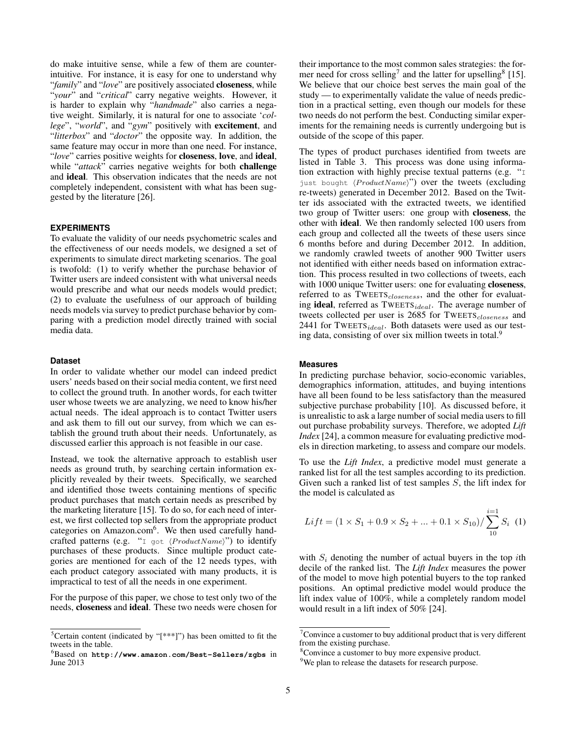do make intuitive sense, while a few of them are counterintuitive. For instance, it is easy for one to understand why "*family*" and "*love*" are positively associated closeness, while "*your*" and "*critical*" carry negative weights. However, it is harder to explain why "*handmade*" also carries a negative weight. Similarly, it is natural for one to associate '*college*", "*world*", and "*gym*" positively with excitement, and "*litterbox*" and "*doctor*" the opposite way. In addition, the same feature may occur in more than one need. For instance, "*love*" carries positive weights for closeness, love, and ideal, while "*attack*" carries negative weights for both challenge and ideal. This observation indicates that the needs are not completely independent, consistent with what has been suggested by the literature [\[26\]](#page-9-6).

#### **EXPERIMENTS**

To evaluate the validity of our needs psychometric scales and the effectiveness of our needs models, we designed a set of experiments to simulate direct marketing scenarios. The goal is twofold: (1) to verify whether the purchase behavior of Twitter users are indeed consistent with what universal needs would prescribe and what our needs models would predict; (2) to evaluate the usefulness of our approach of building needs models via survey to predict purchase behavior by comparing with a prediction model directly trained with social media data.

#### **Dataset**

In order to validate whether our model can indeed predict users' needs based on their social media content, we first need to collect the ground truth. In another words, for each twitter user whose tweets we are analyzing, we need to know his/her actual needs. The ideal approach is to contact Twitter users and ask them to fill out our survey, from which we can establish the ground truth about their needs. Unfortunately, as discussed earlier this approach is not feasible in our case.

Instead, we took the alternative approach to establish user needs as ground truth, by searching certain information explicitly revealed by their tweets. Specifically, we searched and identified those tweets containing mentions of specific product purchases that match certain needs as prescribed by the marketing literature [\[15\]](#page-9-2). To do so, for each need of interest, we first collected top sellers from the appropriate product categories on Amazon.com<sup>[6](#page-5-0)</sup>. We then used carefully handcrafted patterns (e.g. "I got  $\langle ProductName \rangle$ ") to identify purchases of these products. Since multiple product categories are mentioned for each of the 12 needs types, with each product category associated with many products, it is impractical to test of all the needs in one experiment.

For the purpose of this paper, we chose to test only two of the needs, closeness and ideal. These two needs were chosen for

their importance to the most common sales strategies: the for-mer need for cross selling<sup>[7](#page-5-1)</sup> and the latter for upselling<sup>[8](#page-5-2)</sup> [\[15\]](#page-9-2). We believe that our choice best serves the main goal of the study — to experimentally validate the value of needs prediction in a practical setting, even though our models for these two needs do not perform the best. Conducting similar experiments for the remaining needs is currently undergoing but is outside of the scope of this paper.

The types of product purchases identified from tweets are listed in Table [3.](#page-6-0) This process was done using information extraction with highly precise textual patterns (e.g. "I just bought  $\langle ProductName \rangle$ ") over the tweets (excluding re-tweets) generated in December 2012. Based on the Twitter ids associated with the extracted tweets, we identified two group of Twitter users: one group with closeness, the other with ideal. We then randomly selected 100 users from each group and collected all the tweets of these users since 6 months before and during December 2012. In addition, we randomly crawled tweets of another 900 Twitter users not identified with either needs based on information extraction. This process resulted in two collections of tweets, each with 1000 unique Twitter users: one for evaluating **closeness**, referred to as  $TWEers<sub>classes</sub>$ , and the other for evaluating ideal, referred as  ${\rm TWEers}_{ideal}$ . The average number of tweets collected per user is 2685 for TWEETS<sub>closeness</sub> and 2441 for TWEETS<sub>ideal</sub>. Both datasets were used as our test-ing data, consisting of over six million tweets in total.<sup>[9](#page-5-3)</sup>

#### **Measures**

In predicting purchase behavior, socio-economic variables, demographics information, attitudes, and buying intentions have all been found to be less satisfactory than the measured subjective purchase probability [\[10\]](#page-9-30). As discussed before, it is unrealistic to ask a large number of social media users to fill out purchase probability surveys. Therefore, we adopted *Lift Index* [\[24\]](#page-9-31), a common measure for evaluating predictive models in direction marketing, to assess and compare our models.

To use the *Lift Index*, a predictive model must generate a ranked list for all the test samples according to its prediction. Given such a ranked list of test samples S, the lift index for the model is calculated as

$$
Lift = (1 \times S_1 + 0.9 \times S_2 + ... + 0.1 \times S_{10}) / \sum_{10}^{i=1} S_i
$$
 (1)

with  $S_i$  denoting the number of actual buyers in the top *i*th decile of the ranked list. The *Lift Index* measures the power of the model to move high potential buyers to the top ranked positions. An optimal predictive model would produce the lift index value of 100%, while a completely random model would result in a lift index of 50% [\[24\]](#page-9-31).

<span id="page-5-4"></span><sup>&</sup>lt;sup>5</sup>Certain content (indicated by " $[***]$ ") has been omitted to fit the tweets in the table.

<span id="page-5-0"></span><sup>6</sup>Based on **<http://www.amazon.com/Best-Sellers/zgbs>** in June 2013

<span id="page-5-1"></span> $7$ Convince a customer to buy additional product that is very different from the existing purchase.

<span id="page-5-2"></span><sup>&</sup>lt;sup>8</sup>Convince a customer to buy more expensive product.

<span id="page-5-3"></span><sup>&</sup>lt;sup>9</sup>We plan to release the datasets for research purpose.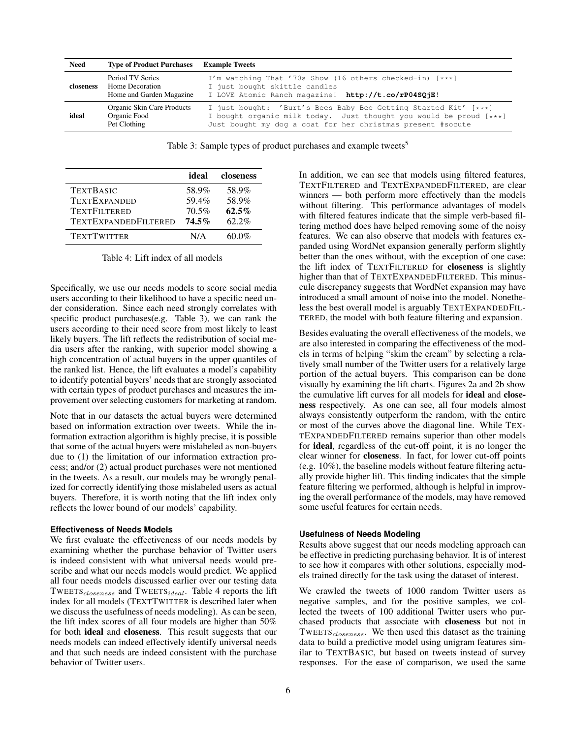<span id="page-6-0"></span>

| <b>Need</b> | <b>Type of Product Purchases Example Tweets</b>                        |                                                                                                                                                                                                      |
|-------------|------------------------------------------------------------------------|------------------------------------------------------------------------------------------------------------------------------------------------------------------------------------------------------|
| closeness   | Period TV Series<br><b>Home Decoration</b><br>Home and Garden Magazine | I'm watching That '70s Show (16 others checked-in) [***]<br>I just bought skittle candles<br>I LOVE Atomic Ranch magazine! http://t.co/rP04SQjE!                                                     |
| ideal       | Organic Skin Care Products<br>Organic Food<br>Pet Clothing             | I just bought: 'Burt's Bees Baby Bee Getting Started Kit' [***]<br>I bought organic milk today. Just thought you would be proud [***]<br>Just bought my dog a coat for her christmas present #socute |

Table 3: Sample types of product purchases and example tweets<sup>[5](#page-5-4)</sup>

<span id="page-6-1"></span>

|                             | ideal    | closeness |
|-----------------------------|----------|-----------|
| <b>TEXTBASIC</b>            | 58.9%    | 58.9%     |
| <b>TEXTEXPANDED</b>         | 59.4%    | 58.9%     |
| <b>TEXTFILTERED</b>         | 70.5%    | $62.5\%$  |
| <b>TEXTEXPANDEDFILTERED</b> | $74.5\%$ | $62.2\%$  |
| <b>TEXTTWITTER</b>          | N/A      | 60.0%     |

Table 4: Lift index of all models

Specifically, we use our needs models to score social media users according to their likelihood to have a specific need under consideration. Since each need strongly correlates with specific product purchases(e.g. Table [3\)](#page-6-0), we can rank the users according to their need score from most likely to least likely buyers. The lift reflects the redistribution of social media users after the ranking, with superior model showing a high concentration of actual buyers in the upper quantiles of the ranked list. Hence, the lift evaluates a model's capability to identify potential buyers' needs that are strongly associated with certain types of product purchases and measures the improvement over selecting customers for marketing at random.

Note that in our datasets the actual buyers were determined based on information extraction over tweets. While the information extraction algorithm is highly precise, it is possible that some of the actual buyers were mislabeled as non-buyers due to (1) the limitation of our information extraction process; and/or (2) actual product purchases were not mentioned in the tweets. As a result, our models may be wrongly penalized for correctly identifying those mislabeled users as actual buyers. Therefore, it is worth noting that the lift index only reflects the lower bound of our models' capability.

#### **Effectiveness of Needs Models**

We first evaluate the effectiveness of our needs models by examining whether the purchase behavior of Twitter users is indeed consistent with what universal needs would prescribe and what our needs models would predict. We applied all four needs models discussed earlier over our testing data TWEETS<sub>closeness</sub> and TWEETS<sub>ideal</sub>. Table [4](#page-6-1) reports the lift index for all models (TEXTTWITTER is described later when we discuss the usefulness of needs modeling). As can be seen, the lift index scores of all four models are higher than 50% for both ideal and closeness. This result suggests that our needs models can indeed effectively identify universal needs and that such needs are indeed consistent with the purchase behavior of Twitter users.

In addition, we can see that models using filtered features, TEXTFILTERED and TEXTEXPANDEDFILTERED, are clear winners — both perform more effectively than the models without filtering. This performance advantages of models with filtered features indicate that the simple verb-based filtering method does have helped removing some of the noisy features. We can also observe that models with features expanded using WordNet expansion generally perform slightly better than the ones without, with the exception of one case: the lift index of TEXTFILTERED for closeness is slightly higher than that of TEXTEXPANDEDFILTERED. This minuscule discrepancy suggests that WordNet expansion may have introduced a small amount of noise into the model. Nonetheless the best overall model is arguably TEXTEXPANDEDFIL-TERED, the model with both feature filtering and expansion.

Besides evaluating the overall effectiveness of the models, we are also interested in comparing the effectiveness of the models in terms of helping "skim the cream" by selecting a relatively small number of the Twitter users for a relatively large portion of the actual buyers. This comparison can be done visually by examining the lift charts. Figures [2a](#page-7-0) and [2b](#page-7-0) show the cumulative lift curves for all models for ideal and closeness respectively. As one can see, all four models almost always consistently outperform the random, with the entire or most of the curves above the diagonal line. While TEX-TEXPANDEDFILTERED remains superior than other models for ideal, regardless of the cut-off point, it is no longer the clear winner for closeness. In fact, for lower cut-off points (e.g. 10%), the baseline models without feature filtering actually provide higher lift. This finding indicates that the simple feature filtering we performed, although is helpful in improving the overall performance of the models, may have removed some useful features for certain needs.

#### **Usefulness of Needs Modeling**

Results above suggest that our needs modeling approach can be effective in predicting purchasing behavior. It is of interest to see how it compares with other solutions, especially models trained directly for the task using the dataset of interest.

We crawled the tweets of 1000 random Twitter users as negative samples, and for the positive samples, we collected the tweets of 100 additional Twitter users who purchased products that associate with closeness but not in TWEETS<sub>closeness</sub>. We then used this dataset as the training data to build a predictive model using unigram features similar to TEXTBASIC, but based on tweets instead of survey responses. For the ease of comparison, we used the same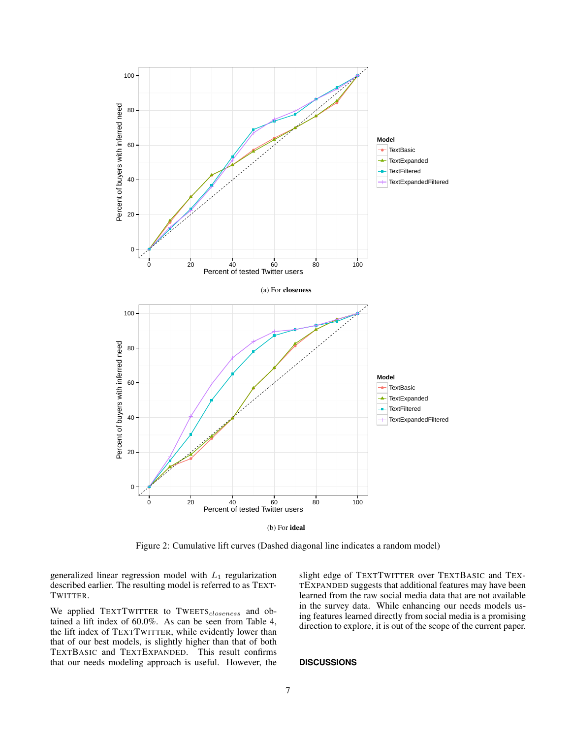<span id="page-7-0"></span>

(b) For ideal

Figure 2: Cumulative lift curves (Dashed diagonal line indicates a random model)

generalized linear regression model with  $L_1$  regularization described earlier. The resulting model is referred to as TEXT-TWITTER.

We applied TEXTTWITTER to TWEETS<sub>closeness</sub> and obtained a lift index of 60.0%. As can be seen from Table [4,](#page-6-1) the lift index of TEXTTWITTER, while evidently lower than that of our best models, is slightly higher than that of both TEXTBASIC and TEXTEXPANDED. This result confirms that our needs modeling approach is useful. However, the slight edge of TEXTTWITTER over TEXTBASIC and TEX-TEXPANDED suggests that additional features may have been learned from the raw social media data that are not available in the survey data. While enhancing our needs models using features learned directly from social media is a promising direction to explore, it is out of the scope of the current paper.

#### **DISCUSSIONS**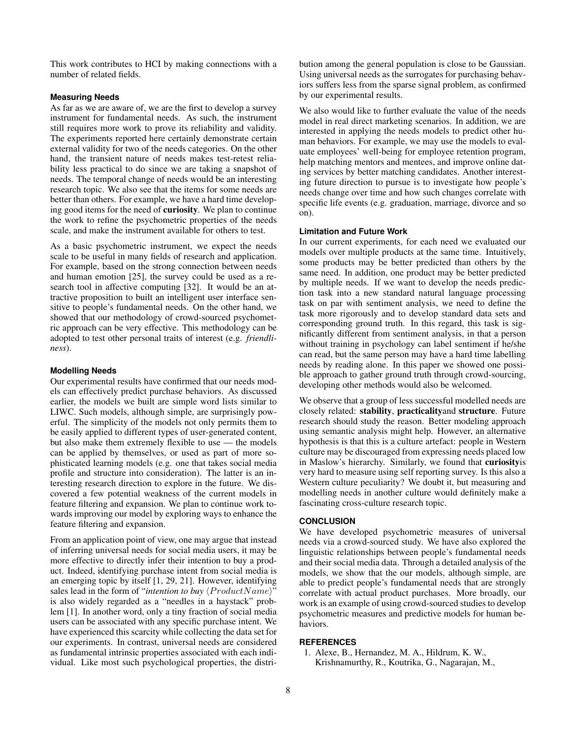This work contributes to HCI by making connections with a number of related fields.

#### **Measuring Needs**

As far as we are aware of, we are the first to develop a survey instrument for fundamental needs. As such, the instrument still requires more work to prove its reliability and validity. The experiments reported here certainly demonstrate certain external validity for two of the needs categories. On the other hand, the transient nature of needs makes test-retest reliability less practical to do since we are taking a snapshot of needs. The temporal change of needs would be an interesting research topic. We also see that the items for some needs are better than others. For example, we have a hard time developing good items for the need of curiosity. We plan to continue the work to refine the psychometric properties of the needs scale, and make the instrument available for others to test.

As a basic psychometric instrument, we expect the needs scale to be useful in many fields of research and application. For example, based on the strong connection between needs and human emotion [\[25\]](#page-9-5), the survey could be used as a research tool in affective computing [\[32\]](#page-9-32). It would be an attractive proposition to built an intelligent user interface sensitive to people's fundamental needs. On the other hand, we showed that our methodology of crowd-sourced psychometric approach can be very effective. This methodology can be adopted to test other personal traits of interest (e.g. *friendliness*).

#### **Modelling Needs**

Our experimental results have confirmed that our needs models can effectively predict purchase behaviors. As discussed earlier, the models we built are simple word lists similar to LIWC. Such models, although simple, are surprisingly powerful. The simplicity of the models not only permits them to be easily applied to different types of user-generated content, but also make them extremely flexible to use — the models can be applied by themselves, or used as part of more sophisticated learning models (e.g. one that takes social media profile and structure into consideration). The latter is an interesting research direction to explore in the future. We discovered a few potential weakness of the current models in feature filtering and expansion. We plan to continue work towards improving our model by exploring ways to enhance the feature filtering and expansion.

From an application point of view, one may argue that instead of inferring universal needs for social media users, it may be more effective to directly infer their intention to buy a product. Indeed, identifying purchase intent from social media is an emerging topic by itself [\[1,](#page-8-0) [29,](#page-9-33) [21\]](#page-9-34). However, identifying sales lead in the form of "*intention to buy*  $\langle ProductName \rangle$ " is also widely regarded as a "needles in a haystack" problem [\[1\]](#page-8-0). In another word, only a tiny fraction of social media users can be associated with any specific purchase intent. We have experienced this scarcity while collecting the data set for our experiments. In contrast, universal needs are considered as fundamental intrinsic properties associated with each individual. Like most such psychological properties, the distribution among the general population is close to be Gaussian. Using universal needs as the surrogates for purchasing behaviors suffers less from the sparse signal problem, as confirmed by our experimental results.

We also would like to further evaluate the value of the needs model in real direct marketing scenarios. In addition, we are interested in applying the needs models to predict other human behaviors. For example, we may use the models to evaluate employees' well-being for employee retention program, help matching mentors and mentees, and improve online dating services by better matching candidates. Another interesting future direction to pursue is to investigate how people's needs change over time and how such changes correlate with specific life events (e.g. graduation, marriage, divorce and so on).

#### **Limitation and Future Work**

In our current experiments, for each need we evaluated our models over multiple products at the same time. Intuitively, some products may be better predicted than others by the same need. In addition, one product may be better predicted by multiple needs. If we want to develop the needs prediction task into a new standard natural language processing task on par with sentiment analysis, we need to define the task more rigorously and to develop standard data sets and corresponding ground truth. In this regard, this task is significantly different from sentiment analysis, in that a person without training in psychology can label sentiment if he/she can read, but the same person may have a hard time labelling needs by reading alone. In this paper we showed one possible approach to gather ground truth through crowd-sourcing, developing other methods would also be welcomed.

We observe that a group of less successful modelled needs are closely related: stability, practicalityand structure. Future research should study the reason. Better modeling approach using semantic analysis might help. However, an alternative hypothesis is that this is a culture artefact: people in Western culture may be discouraged from expressing needs placed low in Maslow's hierarchy. Similarly, we found that curiosityis very hard to measure using self reporting survey. Is this also a Western culture peculiarity? We doubt it, but measuring and modelling needs in another culture would definitely make a fascinating cross-culture research topic.

#### **CONCLUSION**

We have developed psychometric measures of universal needs via a crowd-sourced study. We have also explored the linguistic relationships between people's fundamental needs and their social media data. Through a detailed analysis of the models, we show that the our models, although simple, are able to predict people's fundamental needs that are strongly correlate with actual product purchases. More broadly, our work is an example of using crowd-sourced studies to develop psychometric measures and predictive models for human behaviors.

#### <span id="page-8-0"></span>**REFERENCES**

1. Alexe, B., Hernandez, M. A., Hildrum, K. W., Krishnamurthy, R., Koutrika, G., Nagarajan, M.,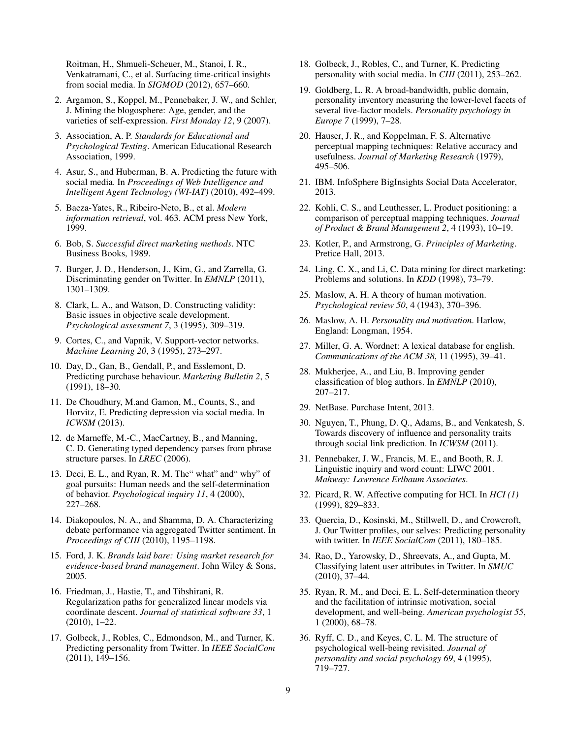Roitman, H., Shmueli-Scheuer, M., Stanoi, I. R., Venkatramani, C., et al. Surfacing time-critical insights from social media. In *SIGMOD* (2012), 657–660.

- <span id="page-9-12"></span>2. Argamon, S., Koppel, M., Pennebaker, J. W., and Schler, J. Mining the blogosphere: Age, gender, and the varieties of self-expression. *First Monday 12*, 9 (2007).
- <span id="page-9-21"></span>3. Association, A. P. *Standards for Educational and Psychological Testing*. American Educational Research Association, 1999.
- <span id="page-9-0"></span>4. Asur, S., and Huberman, B. A. Predicting the future with social media. In *Proceedings of Web Intelligence and Intelligent Agent Technology (WI-IAT)* (2010), 492–499.
- <span id="page-9-25"></span>5. Baeza-Yates, R., Ribeiro-Neto, B., et al. *Modern information retrieval*, vol. 463. ACM press New York, 1999.
- <span id="page-9-4"></span>6. Bob, S. *Successful direct marketing methods*. NTC Business Books, 1989.
- <span id="page-9-13"></span>7. Burger, J. D., Henderson, J., Kim, G., and Zarrella, G. Discriminating gender on Twitter. In *EMNLP* (2011), 1301–1309.
- <span id="page-9-22"></span>8. Clark, L. A., and Watson, D. Constructing validity: Basic issues in objective scale development. *Psychological assessment 7*, 3 (1995), 309–319.
- <span id="page-9-29"></span>9. Cortes, C., and Vapnik, V. Support-vector networks. *Machine Learning 20*, 3 (1995), 273–297.
- <span id="page-9-30"></span>10. Day, D., Gan, B., Gendall, P., and Esslemont, D. Predicting purchase behaviour. *Marketing Bulletin 2*, 5 (1991), 18–30.
- <span id="page-9-19"></span>11. De Choudhury, M.and Gamon, M., Counts, S., and Horvitz, E. Predicting depression via social media. In *ICWSM* (2013).
- <span id="page-9-27"></span>12. de Marneffe, M.-C., MacCartney, B., and Manning, C. D. Generating typed dependency parses from phrase structure parses. In *LREC* (2006).
- <span id="page-9-20"></span>13. Deci, E. L., and Ryan, R. M. The" what" and" why" of goal pursuits: Human needs and the self-determination of behavior. *Psychological inquiry 11*, 4 (2000), 227–268.
- <span id="page-9-1"></span>14. Diakopoulos, N. A., and Shamma, D. A. Characterizing debate performance via aggregated Twitter sentiment. In *Proceedings of CHI* (2010), 1195–1198.
- <span id="page-9-2"></span>15. Ford, J. K. *Brands laid bare: Using market research for evidence-based brand management*. John Wiley & Sons, 2005.
- <span id="page-9-28"></span>16. Friedman, J., Hastie, T., and Tibshirani, R. Regularization paths for generalized linear models via coordinate descent. *Journal of statistical software 33*, 1 (2010), 1–22.
- <span id="page-9-16"></span>17. Golbeck, J., Robles, C., Edmondson, M., and Turner, K. Predicting personality from Twitter. In *IEEE SocialCom* (2011), 149–156.
- <span id="page-9-17"></span>18. Golbeck, J., Robles, C., and Turner, K. Predicting personality with social media. In *CHI* (2011), 253–262.
- <span id="page-9-11"></span>19. Goldberg, L. R. A broad-bandwidth, public domain, personality inventory measuring the lower-level facets of several five-factor models. *Personality psychology in Europe 7* (1999), 7–28.
- <span id="page-9-9"></span>20. Hauser, J. R., and Koppelman, F. S. Alternative perceptual mapping techniques: Relative accuracy and usefulness. *Journal of Marketing Research* (1979), 495–506.
- <span id="page-9-34"></span>21. IBM. InfoSphere BigInsights Social Data Accelerator, 2013.
- <span id="page-9-10"></span>22. Kohli, C. S., and Leuthesser, L. Product positioning: a comparison of perceptual mapping techniques. *Journal of Product & Brand Management 2*, 4 (1993), 10–19.
- <span id="page-9-3"></span>23. Kotler, P., and Armstrong, G. *Principles of Marketing*. Pretice Hall, 2013.
- <span id="page-9-31"></span>24. Ling, C. X., and Li, C. Data mining for direct marketing: Problems and solutions. In *KDD* (1998), 73–79.
- <span id="page-9-5"></span>25. Maslow, A. H. A theory of human motivation. *Psychological review 50*, 4 (1943), 370–396.
- <span id="page-9-6"></span>26. Maslow, A. H. *Personality and motivation*. Harlow, England: Longman, 1954.
- <span id="page-9-26"></span>27. Miller, G. A. Wordnet: A lexical database for english. *Communications of the ACM 38*, 11 (1995), 39–41.
- <span id="page-9-14"></span>28. Mukherjee, A., and Liu, B. Improving gender classification of blog authors. In *EMNLP* (2010), 207–217.
- <span id="page-9-33"></span>29. NetBase. Purchase Intent, 2013.
- <span id="page-9-24"></span>30. Nguyen, T., Phung, D. Q., Adams, B., and Venkatesh, S. Towards discovery of influence and personality traits through social link prediction. In *ICWSM* (2011).
- <span id="page-9-23"></span>31. Pennebaker, J. W., Francis, M. E., and Booth, R. J. Linguistic inquiry and word count: LIWC 2001. *Mahway: Lawrence Erlbaum Associates*.
- <span id="page-9-32"></span>32. Picard, R. W. Affective computing for HCI. In *HCI (1)* (1999), 829–833.
- <span id="page-9-18"></span>33. Quercia, D., Kosinski, M., Stillwell, D., and Crowcroft, J. Our Twitter profiles, our selves: Predicting personality with twitter. In *IEEE SocialCom* (2011), 180–185.
- <span id="page-9-15"></span>34. Rao, D., Yarowsky, D., Shreevats, A., and Gupta, M. Classifying latent user attributes in Twitter. In *SMUC* (2010), 37–44.
- <span id="page-9-7"></span>35. Ryan, R. M., and Deci, E. L. Self-determination theory and the facilitation of intrinsic motivation, social development, and well-being. *American psychologist 55*, 1 (2000), 68–78.
- <span id="page-9-8"></span>36. Ryff, C. D., and Keyes, C. L. M. The structure of psychological well-being revisited. *Journal of personality and social psychology 69*, 4 (1995), 719–727.